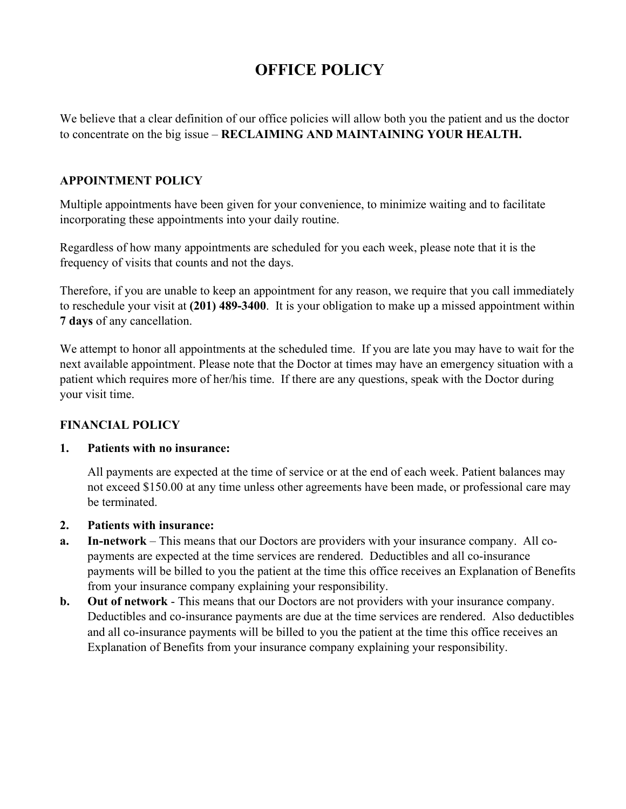# **OFFICE POLICY**

We believe that a clear definition of our office policies will allow both you the patient and us the doctor to concentrate on the big issue – **RECLAIMING AND MAINTAINING YOUR HEALTH.**

## **APPOINTMENT POLICY**

Multiple appointments have been given for your convenience, to minimize waiting and to facilitate incorporating these appointments into your daily routine.

Regardless of how many appointments are scheduled for you each week, please note that it is the frequency of visits that counts and not the days.

Therefore, if you are unable to keep an appointment for any reason, we require that you call immediately to reschedule your visit at **(201) 489-3400**. It is your obligation to make up a missed appointment within **7 days** of any cancellation.

We attempt to honor all appointments at the scheduled time. If you are late you may have to wait for the next available appointment. Please note that the Doctor at times may have an emergency situation with a patient which requires more of her/his time. If there are any questions, speak with the Doctor during your visit time.

#### **FINANCIAL POLICY**

#### **1. Patients with no insurance:**

All payments are expected at the time of service or at the end of each week. Patient balances may not exceed \$150.00 at any time unless other agreements have been made, or professional care may be terminated.

#### **2. Patients with insurance:**

- **a. In-network** This means that our Doctors are providers with your insurance company. All copayments are expected at the time services are rendered. Deductibles and all co-insurance payments will be billed to you the patient at the time this office receives an Explanation of Benefits from your insurance company explaining your responsibility.
- **b. Out of network** This means that our Doctors are not providers with your insurance company. Deductibles and co-insurance payments are due at the time services are rendered. Also deductibles and all co-insurance payments will be billed to you the patient at the time this office receives an Explanation of Benefits from your insurance company explaining your responsibility.